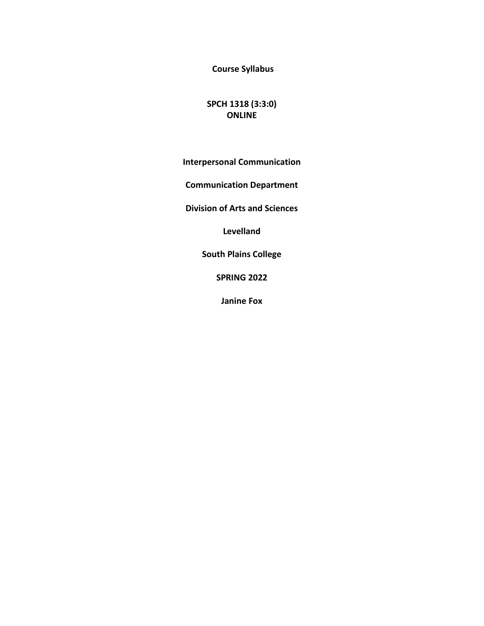**Course Syllabus** 

# **SPCH 1318 (3:3:0) ONLINE**

**Interpersonal Communication**

**Communication Department** 

**Division of Arts and Sciences** 

**Levelland**

**South Plains College** 

**SPRING 2022**

**Janine Fox**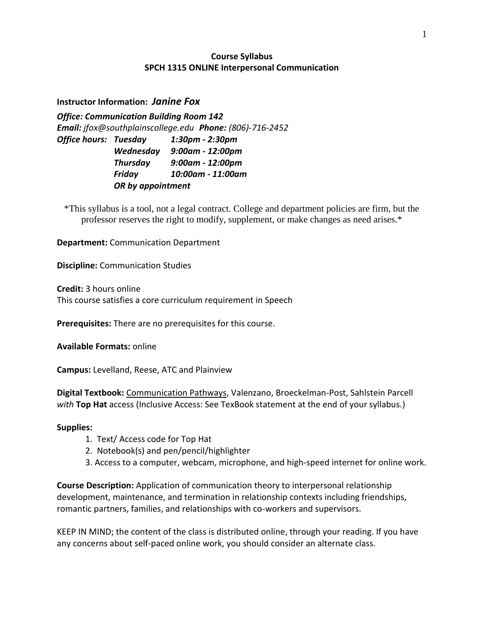# **Course Syllabus SPCH 1315 ONLINE Interpersonal Communication**

## **Instructor Information:** *Janine Fox*

*Office: Communication Building Room 142 Email: jfox@southplainscollege.edu Phone: (806)-716-2452 Office hours: Tuesday 1:30pm - 2:30pm Wednesday 9:00am - 12:00pm Thursday 9:00am - 12:00pm Friday 10:00am - 11:00am OR by appointment*

\*This syllabus is a tool, not a legal contract. College and department policies are firm, but the professor reserves the right to modify, supplement, or make changes as need arises.\*

**Department:** Communication Department

**Discipline:** Communication Studies

**Credit:** 3 hours online This course satisfies a core curriculum requirement in Speech

**Prerequisites:** There are no prerequisites for this course.

**Available Formats:** online

**Campus:** Levelland, Reese, ATC and Plainview

**Digital Textbook:** Communication Pathways, Valenzano, Broeckelman-Post, Sahlstein Parcell *with* **Top Hat** access (Inclusive Access: See TexBook statement at the end of your syllabus.)

### **Supplies:**

- 1. Text/ Access code for Top Hat
- 2. Notebook(s) and pen/pencil/highlighter
- 3. Access to a computer, webcam, microphone, and high-speed internet for online work.

**Course Description:** Application of communication theory to interpersonal relationship development, maintenance, and termination in relationship contexts including friendships, romantic partners, families, and relationships with co-workers and supervisors.

KEEP IN MIND; the content of the class is distributed online, through your reading. If you have any concerns about self-paced online work, you should consider an alternate class.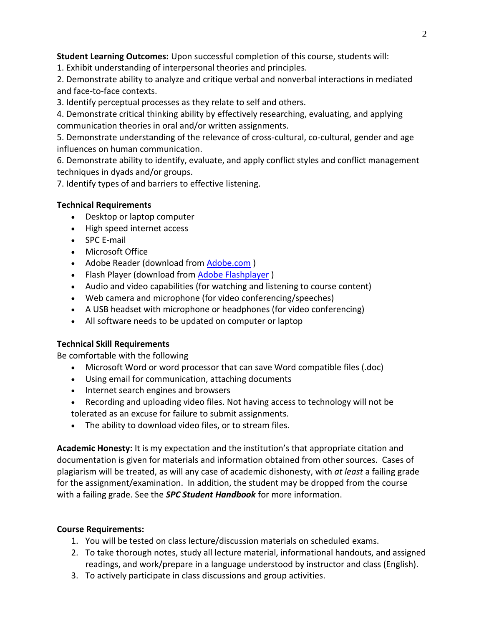**Student Learning Outcomes:** Upon successful completion of this course, students will:

1. Exhibit understanding of interpersonal theories and principles.

2. Demonstrate ability to analyze and critique verbal and nonverbal interactions in mediated and face-to-face contexts.

3. Identify perceptual processes as they relate to self and others.

4. Demonstrate critical thinking ability by effectively researching, evaluating, and applying communication theories in oral and/or written assignments.

5. Demonstrate understanding of the relevance of cross-cultural, co-cultural, gender and age influences on human communication.

6. Demonstrate ability to identify, evaluate, and apply conflict styles and conflict management techniques in dyads and/or groups.

7. Identify types of and barriers to effective listening.

# **Technical Requirements**

- Desktop or laptop computer
- High speed internet access
- SPC E-mail
- Microsoft Office
- Adobe Reader (download from [Adobe.com](http://get.adobe.com/reader))
- Flash Player (download from Adobe [Flashplayer](http://get.adobe.com/flashplayer/))
- Audio and video capabilities (for watching and listening to course content)
- Web camera and microphone (for video conferencing/speeches)
- A USB headset with microphone or headphones (for video conferencing)
- All software needs to be updated on computer or laptop

## **Technical Skill Requirements**

Be comfortable with the following

- Microsoft Word or word processor that can save Word compatible files (.doc)
- Using email for communication, attaching documents
- Internet search engines and browsers
- Recording and uploading video files. Not having access to technology will not be tolerated as an excuse for failure to submit assignments.
- The ability to download video files, or to stream files.

**Academic Honesty:** It is my expectation and the institution's that appropriate citation and documentation is given for materials and information obtained from other sources. Cases of plagiarism will be treated, as will any case of academic dishonesty, with *at least* a failing grade for the assignment/examination. In addition, the student may be dropped from the course with a failing grade. See the *SPC Student Handbook* for more information.

## **Course Requirements:**

- 1. You will be tested on class lecture/discussion materials on scheduled exams.
- 2. To take thorough notes, study all lecture material, informational handouts, and assigned readings, and work/prepare in a language understood by instructor and class (English).
- 3. To actively participate in class discussions and group activities.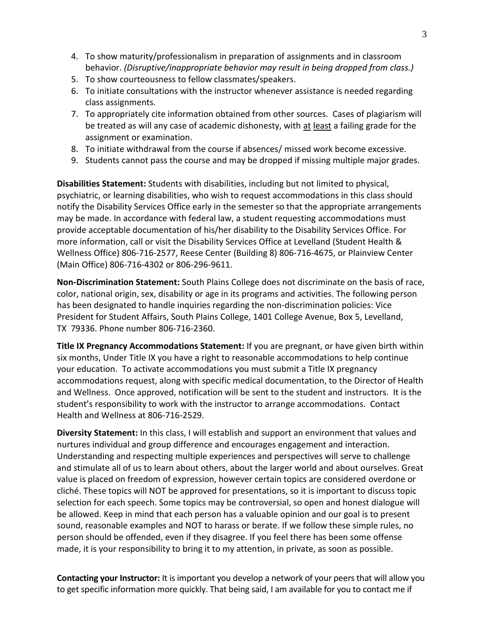- 4. To show maturity/professionalism in preparation of assignments and in classroom behavior. *(Disruptive/inappropriate behavior may result in being dropped from class.)*
- 5. To show courteousness to fellow classmates/speakers.
- 6. To initiate consultations with the instructor whenever assistance is needed regarding class assignments.
- 7. To appropriately cite information obtained from other sources. Cases of plagiarism will be treated as will any case of academic dishonesty, with at least a failing grade for the assignment or examination.
- 8. To initiate withdrawal from the course if absences/ missed work become excessive.
- 9. Students cannot pass the course and may be dropped if missing multiple major grades.

**Disabilities Statement:** Students with disabilities, including but not limited to physical, psychiatric, or learning disabilities, who wish to request accommodations in this class should notify the Disability Services Office early in the semester so that the appropriate arrangements may be made. In accordance with federal law, a student requesting accommodations must provide acceptable documentation of his/her disability to the Disability Services Office. For more information, call or visit the Disability Services Office at Levelland (Student Health & Wellness Office) 806-716-2577, Reese Center (Building 8) 806-716-4675, or Plainview Center (Main Office) 806-716-4302 or 806-296-9611.

**Non-Discrimination Statement:** South Plains College does not discriminate on the basis of race, color, national origin, sex, disability or age in its programs and activities. The following person has been designated to handle inquiries regarding the non-discrimination policies: Vice President for Student Affairs, South Plains College, 1401 College Avenue, Box 5, Levelland, TX 79336. Phone number 806-716-2360.

**Title IX Pregnancy Accommodations Statement:** If you are pregnant, or have given birth within six months, Under Title IX you have a right to reasonable accommodations to help continue your education. To activate accommodations you must submit a Title IX pregnancy accommodations request, along with specific medical documentation, to the Director of Health and Wellness. Once approved, notification will be sent to the student and instructors. It is the student's responsibility to work with the instructor to arrange accommodations. Contact Health and Wellness at 806-716-2529.

**Diversity Statement:** In this class, I will establish and support an environment that values and nurtures individual and group difference and encourages engagement and interaction. Understanding and respecting multiple experiences and perspectives will serve to challenge and stimulate all of us to learn about others, about the larger world and about ourselves. Great value is placed on freedom of expression, however certain topics are considered overdone or cliché. These topics will NOT be approved for presentations, so it is important to discuss topic selection for each speech. Some topics may be controversial, so open and honest dialogue will be allowed. Keep in mind that each person has a valuable opinion and our goal is to present sound, reasonable examples and NOT to harass or berate. If we follow these simple rules, no person should be offended, even if they disagree. If you feel there has been some offense made, it is your responsibility to bring it to my attention, in private, as soon as possible.

**Contacting your Instructor:** It is important you develop a network of your peers that will allow you to get specific information more quickly. That being said, I am available for you to contact me if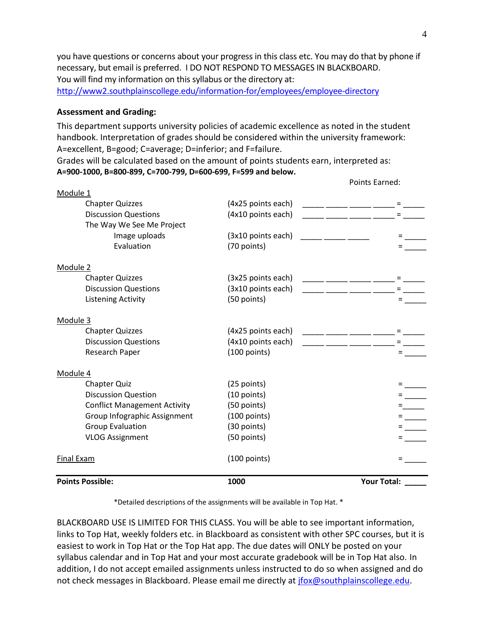you have questions or concerns about your progress in this class etc. You may do that by phone if necessary, but email is preferred. I DO NOT RESPOND TO MESSAGES IN BLACKBOARD. You will find my information on this syllabus or the directory at: <http://www2.southplainscollege.edu/information-for/employees/employee-directory>

#### **Assessment and Grading:**

This department supports university policies of academic excellence as noted in the student handbook. Interpretation of grades should be considered within the university framework: A=excellent, B=good; C=average; D=inferior; and F=failure.

Grades will be calculated based on the amount of points students earn, interpreted as: **A=900-1000, B=800-899, C=700-799, D=600-699, F=599 and below.**

| _______ ______ ______ ______ = ___ |
|------------------------------------|
|                                    |
| Points Earned:                     |

\*Detailed descriptions of the assignments will be available in Top Hat. \*

BLACKBOARD USE IS LIMITED FOR THIS CLASS. You will be able to see important information, links to Top Hat, weekly folders etc. in Blackboard as consistent with other SPC courses, but it is easiest to work in Top Hat or the Top Hat app. The due dates will ONLY be posted on your syllabus calendar and in Top Hat and your most accurate gradebook will be in Top Hat also. In addition, I do not accept emailed assignments unless instructed to do so when assigned and do not check messages in Blackboard. Please email me directly at [jfox@southplainscollege.edu.](mailto:jfox@southplainscollege.edu)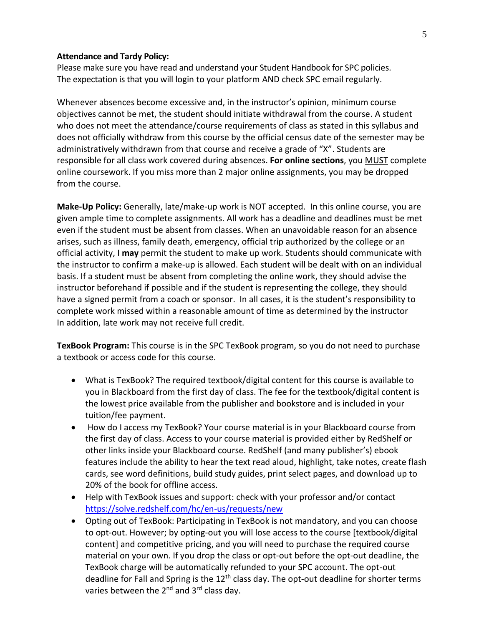#### **Attendance and Tardy Policy:**

Please make sure you have read and understand your Student Handbook for SPC policies. The expectation is that you will login to your platform AND check SPC email regularly.

Whenever absences become excessive and, in the instructor's opinion, minimum course objectives cannot be met, the student should initiate withdrawal from the course. A student who does not meet the attendance/course requirements of class as stated in this syllabus and does not officially withdraw from this course by the official census date of the semester may be administratively withdrawn from that course and receive a grade of "X". Students are responsible for all class work covered during absences. **For online sections**, you MUST complete online coursework. If you miss more than 2 major online assignments, you may be dropped from the course.

**Make-Up Policy:** Generally, late/make-up work is NOT accepted. In this online course, you are given ample time to complete assignments. All work has a deadline and deadlines must be met even if the student must be absent from classes. When an unavoidable reason for an absence arises, such as illness, family death, emergency, official trip authorized by the college or an official activity, I **may** permit the student to make up work. Students should communicate with the instructor to confirm a make-up is allowed. Each student will be dealt with on an individual basis. If a student must be absent from completing the online work, they should advise the instructor beforehand if possible and if the student is representing the college, they should have a signed permit from a coach or sponsor. In all cases, it is the student's responsibility to complete work missed within a reasonable amount of time as determined by the instructor In addition, late work may not receive full credit.

**TexBook Program:** This course is in the SPC TexBook program, so you do not need to purchase a textbook or access code for this course.

- What is TexBook? The required textbook/digital content for this course is available to you in Blackboard from the first day of class. The fee for the textbook/digital content is the lowest price available from the publisher and bookstore and is included in your tuition/fee payment.
- How do I access my TexBook? Your course material is in your Blackboard course from the first day of class. Access to your course material is provided either by RedShelf or other links inside your Blackboard course. RedShelf (and many publisher's) ebook features include the ability to hear the text read aloud, highlight, take notes, create flash cards, see word definitions, build study guides, print select pages, and download up to 20% of the book for offline access.
- Help with TexBook issues and support: check with your professor and/or contact <https://solve.redshelf.com/hc/en-us/requests/new>
- Opting out of TexBook: Participating in TexBook is not mandatory, and you can choose to opt-out. However; by opting-out you will lose access to the course [textbook/digital content] and competitive pricing, and you will need to purchase the required course material on your own. If you drop the class or opt-out before the opt-out deadline, the TexBook charge will be automatically refunded to your SPC account. The opt-out deadline for Fall and Spring is the 12<sup>th</sup> class day. The opt-out deadline for shorter terms varies between the 2<sup>nd</sup> and 3<sup>rd</sup> class day.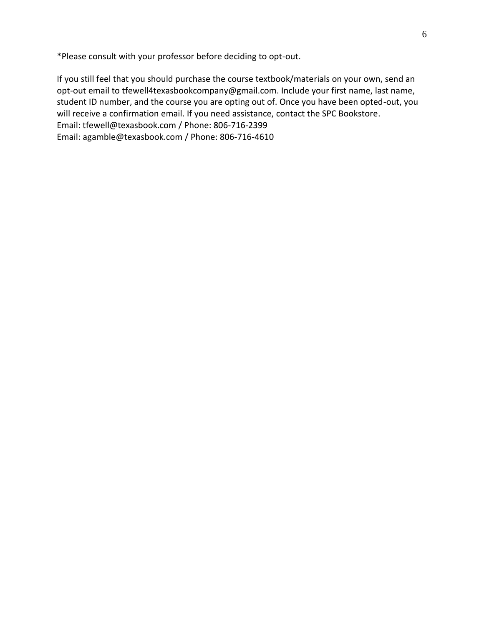\*Please consult with your professor before deciding to opt-out.

If you still feel that you should purchase the course textbook/materials on your own, send an opt-out email to tfewell4texasbookcompany@gmail.com. Include your first name, last name, student ID number, and the course you are opting out of. Once you have been opted-out, you will receive a confirmation email. If you need assistance, contact the SPC Bookstore. Email: tfewell@texasbook.com / Phone: 806-716-2399 Email: agamble@texasbook.com / Phone: 806-716-4610